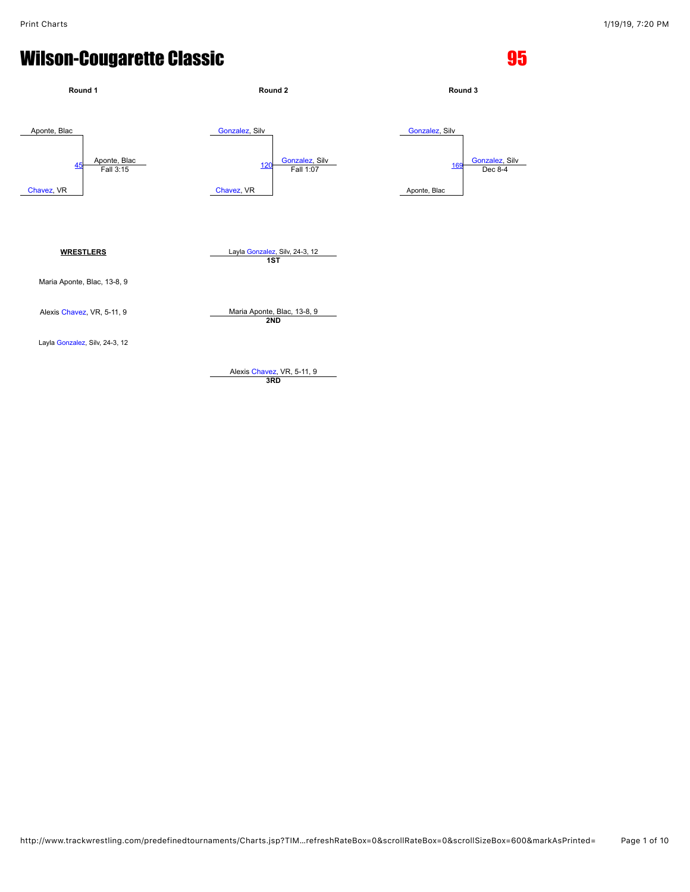

http://www.trackwrestling.com/predefinedtournaments/Charts.jsp?TIM…refreshRateBox=0&scrollRateBox=0&scrollSizeBox=600&markAsPrinted= Page 1 of 10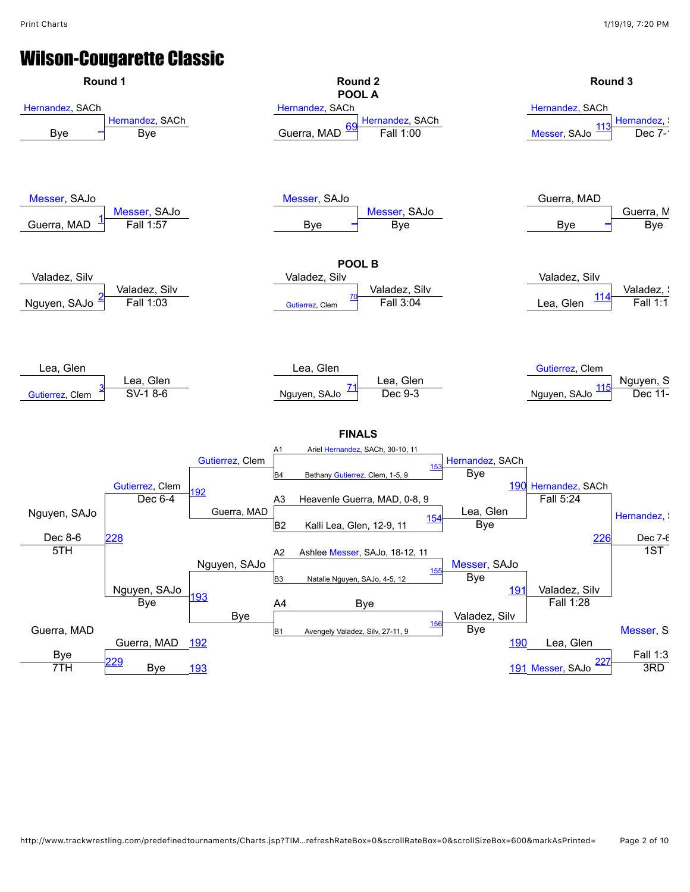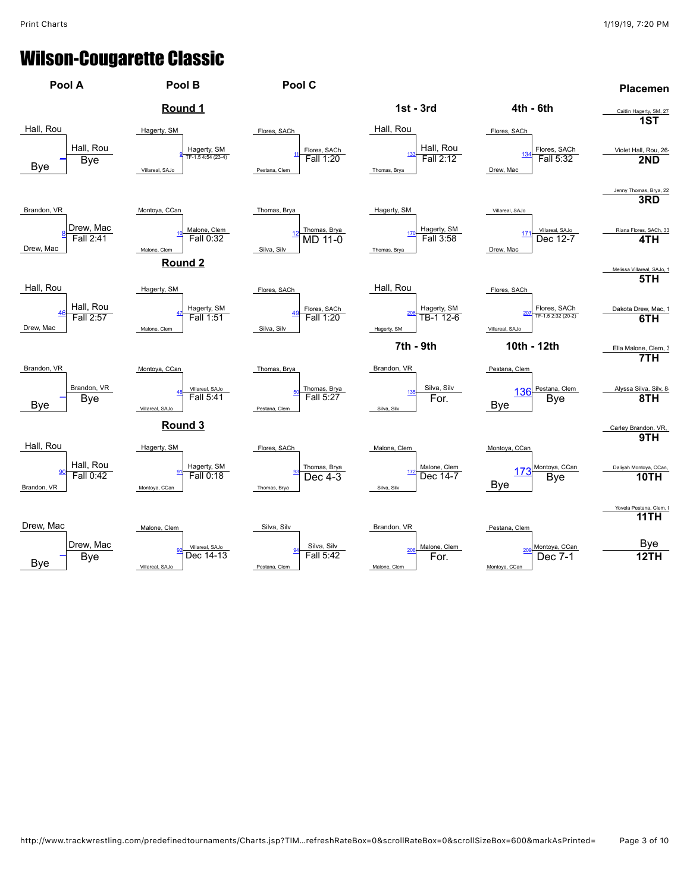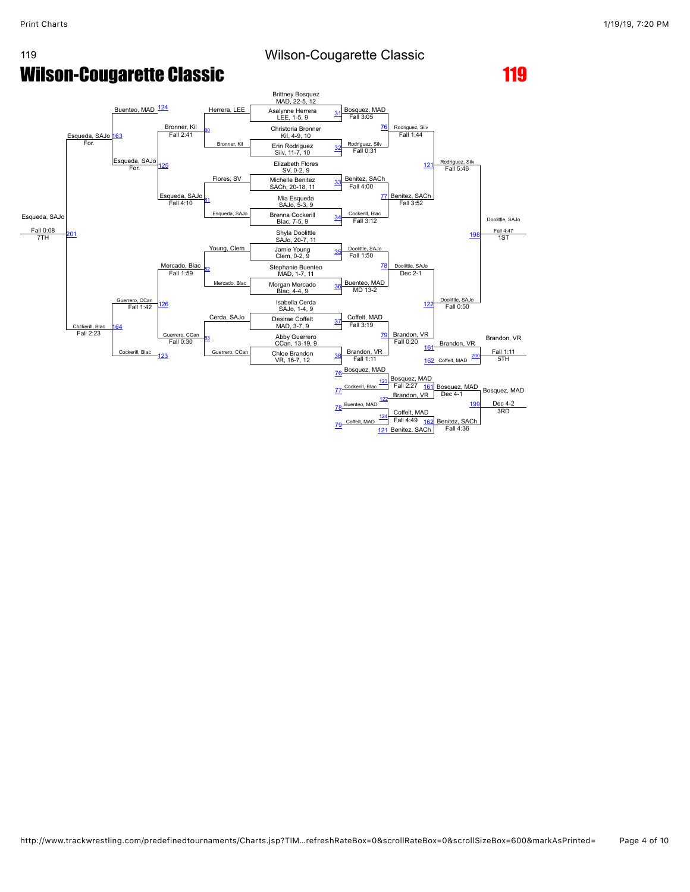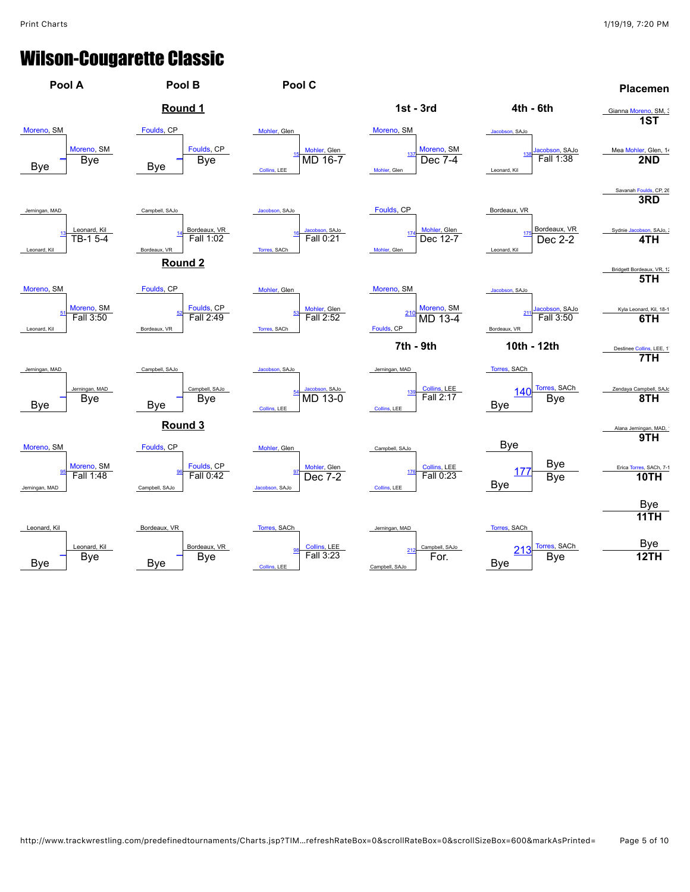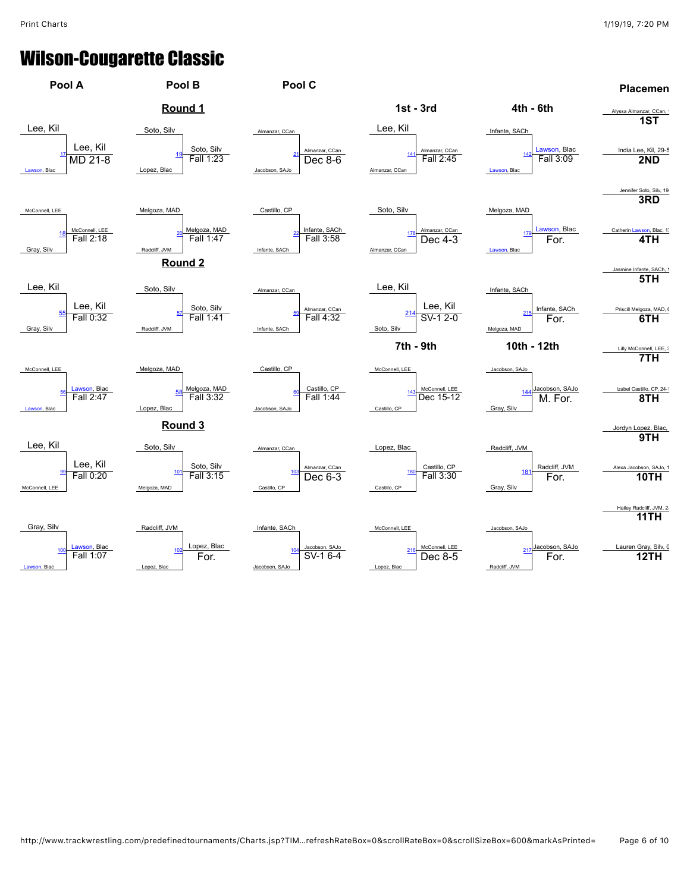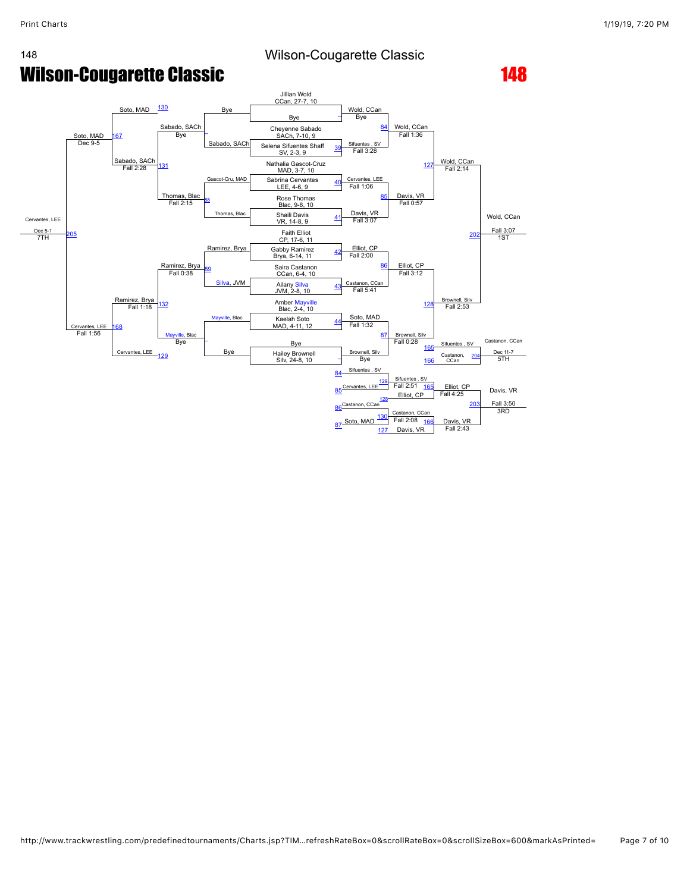

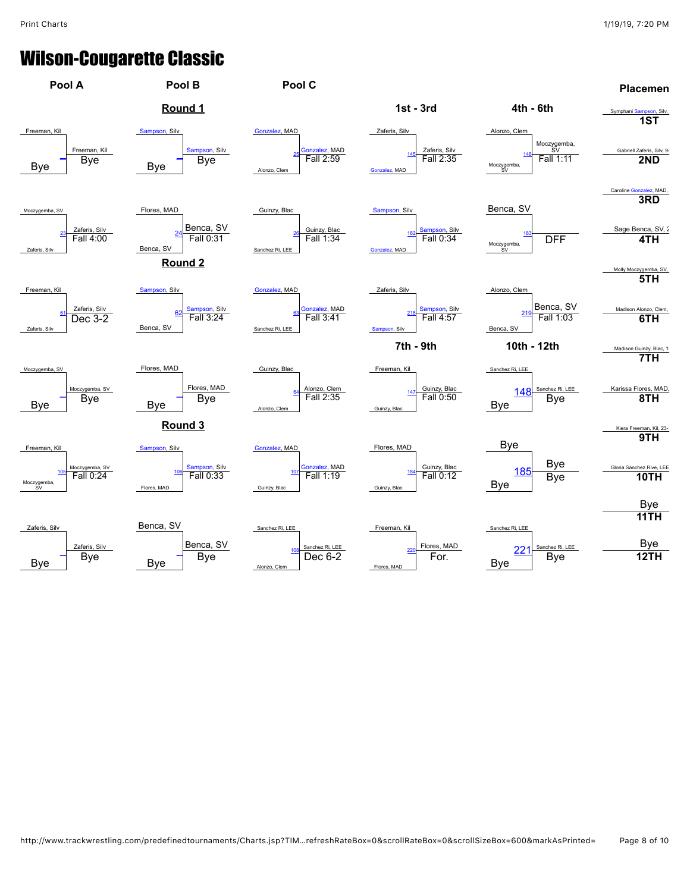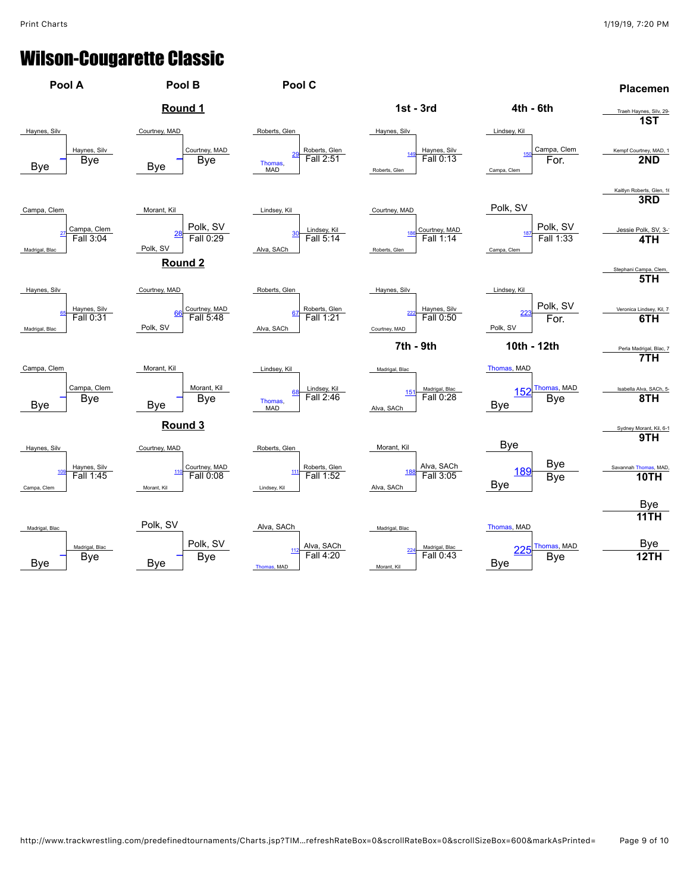